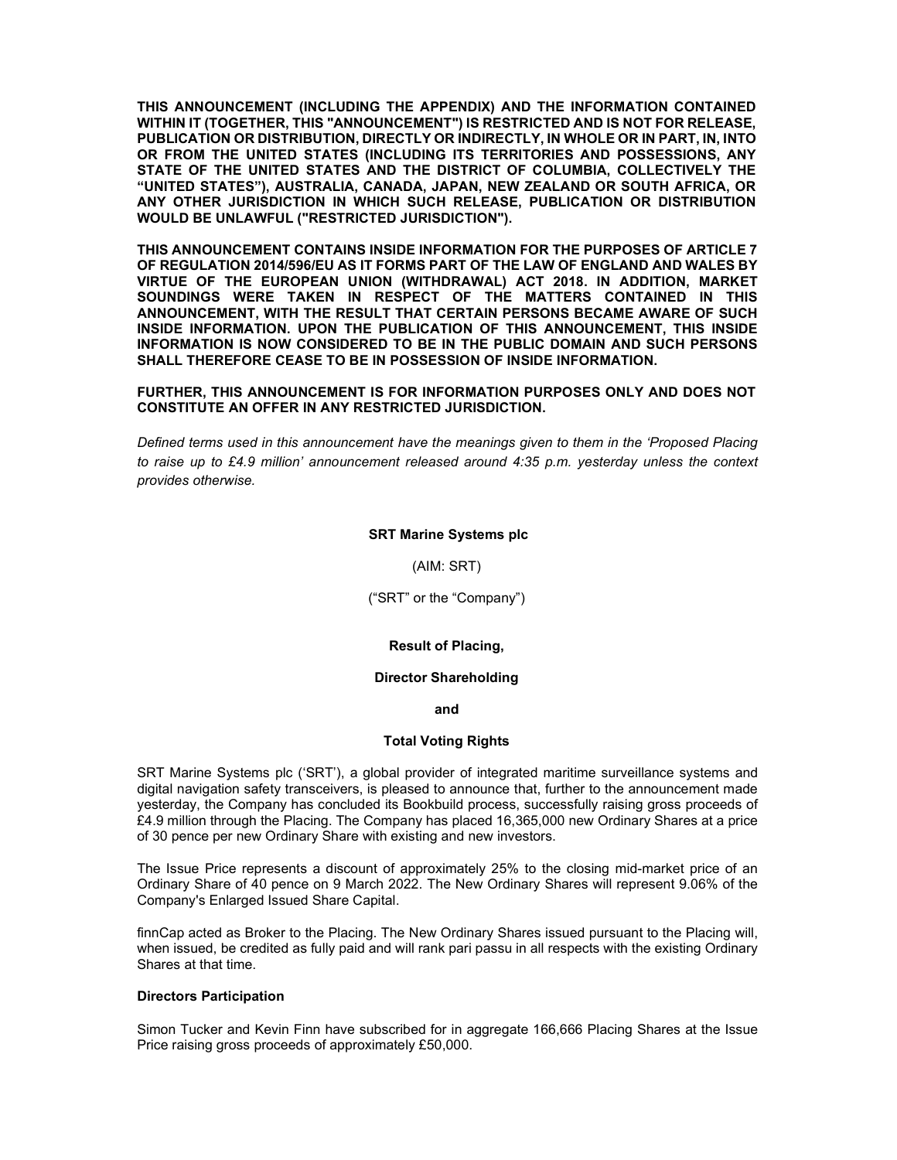THIS ANNOUNCEMENT (INCLUDING THE APPENDIX) AND THE INFORMATION CONTAINED WITHIN IT (TOGETHER, THIS "ANNOUNCEMENT") IS RESTRICTED AND IS NOT FOR RELEASE, PUBLICATION OR DISTRIBUTION, DIRECTLY OR INDIRECTLY, IN WHOLE OR IN PART, IN, INTO OR FROM THE UNITED STATES (INCLUDING ITS TERRITORIES AND POSSESSIONS, ANY STATE OF THE UNITED STATES AND THE DISTRICT OF COLUMBIA, COLLECTIVELY THE "UNITED STATES"), AUSTRALIA, CANADA, JAPAN, NEW ZEALAND OR SOUTH AFRICA, OR ANY OTHER JURISDICTION IN WHICH SUCH RELEASE, PUBLICATION OR DISTRIBUTION WOULD BE UNLAWFUL ("RESTRICTED JURISDICTION").

THIS ANNOUNCEMENT CONTAINS INSIDE INFORMATION FOR THE PURPOSES OF ARTICLE 7 OF REGULATION 2014/596/EU AS IT FORMS PART OF THE LAW OF ENGLAND AND WALES BY VIRTUE OF THE EUROPEAN UNION (WITHDRAWAL) ACT 2018. IN ADDITION, MARKET SOUNDINGS WERE TAKEN IN RESPECT OF THE MATTERS CONTAINED IN THIS ANNOUNCEMENT, WITH THE RESULT THAT CERTAIN PERSONS BECAME AWARE OF SUCH INSIDE INFORMATION. UPON THE PUBLICATION OF THIS ANNOUNCEMENT, THIS INSIDE INFORMATION IS NOW CONSIDERED TO BE IN THE PUBLIC DOMAIN AND SUCH PERSONS SHALL THEREFORE CEASE TO BE IN POSSESSION OF INSIDE INFORMATION.

### FURTHER, THIS ANNOUNCEMENT IS FOR INFORMATION PURPOSES ONLY AND DOES NOT CONSTITUTE AN OFFER IN ANY RESTRICTED JURISDICTION.

Defined terms used in this announcement have the meanings given to them in the 'Proposed Placing to raise up to £4.9 million' announcement released around 4:35 p.m. yesterday unless the context provides otherwise.

#### SRT Marine Systems plc

(AIM: SRT)

("SRT" or the "Company")

### Result of Placing,

#### Director Shareholding

and

### Total Voting Rights

SRT Marine Systems plc ('SRT'), a global provider of integrated maritime surveillance systems and digital navigation safety transceivers, is pleased to announce that, further to the announcement made yesterday, the Company has concluded its Bookbuild process, successfully raising gross proceeds of £4.9 million through the Placing. The Company has placed 16,365,000 new Ordinary Shares at a price of 30 pence per new Ordinary Share with existing and new investors.

The Issue Price represents a discount of approximately 25% to the closing mid-market price of an Ordinary Share of 40 pence on 9 March 2022. The New Ordinary Shares will represent 9.06% of the Company's Enlarged Issued Share Capital.

finnCap acted as Broker to the Placing. The New Ordinary Shares issued pursuant to the Placing will, when issued, be credited as fully paid and will rank pari passu in all respects with the existing Ordinary Shares at that time.

#### Directors Participation

Simon Tucker and Kevin Finn have subscribed for in aggregate 166,666 Placing Shares at the Issue Price raising gross proceeds of approximately £50,000.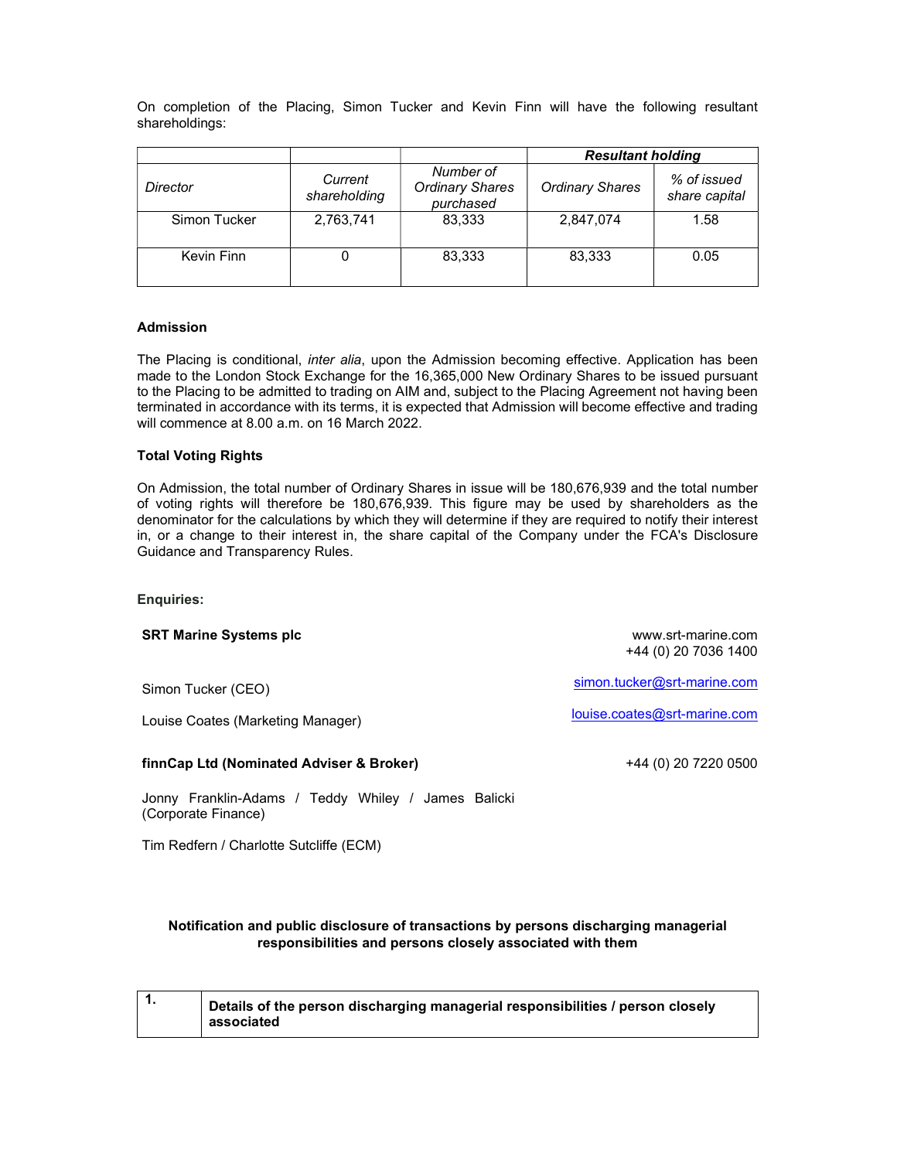On completion of the Placing, Simon Tucker and Kevin Finn will have the following resultant shareholdings:

|              |                         |                                                  | <b>Resultant holding</b> |                              |
|--------------|-------------------------|--------------------------------------------------|--------------------------|------------------------------|
| Director     | Current<br>shareholding | Number of<br><b>Ordinary Shares</b><br>purchased | <b>Ordinary Shares</b>   | % of issued<br>share capital |
| Simon Tucker | 2,763,741               | 83,333                                           | 2,847,074                | 1.58                         |
|              |                         |                                                  |                          |                              |
| Kevin Finn   |                         | 83,333                                           | 83,333                   | 0.05                         |

# Admission

The Placing is conditional, *inter alia*, upon the Admission becoming effective. Application has been made to the London Stock Exchange for the 16,365,000 New Ordinary Shares to be issued pursuant to the Placing to be admitted to trading on AIM and, subject to the Placing Agreement not having been terminated in accordance with its terms, it is expected that Admission will become effective and trading will commence at 8.00 a.m. on 16 March 2022.

# Total Voting Rights

On Admission, the total number of Ordinary Shares in issue will be 180,676,939 and the total number of voting rights will therefore be 180,676,939. This figure may be used by shareholders as the denominator for the calculations by which they will determine if they are required to notify their interest in, or a change to their interest in, the share capital of the Company under the FCA's Disclosure Guidance and Transparency Rules.

Enquiries:

## SRT Marine Systems plc

www.srt-marine.com +44 (0) 20 7036 1400

Simon Tucker (CEO)

Louise Coates (Marketing Manager)

### finnCap Ltd (Nominated Adviser & Broker)

louise.coates@srt-marine.com

simon.tucker@srt-marine.com

+44 (0) 20 7220 0500

Jonny Franklin-Adams / Teddy Whiley / James Balicki (Corporate Finance)

Tim Redfern / Charlotte Sutcliffe (ECM)

# Notification and public disclosure of transactions by persons discharging managerial responsibilities and persons closely associated with them

|  | Details of the person discharging managerial responsibilities / person closely<br>associated |
|--|----------------------------------------------------------------------------------------------|
|--|----------------------------------------------------------------------------------------------|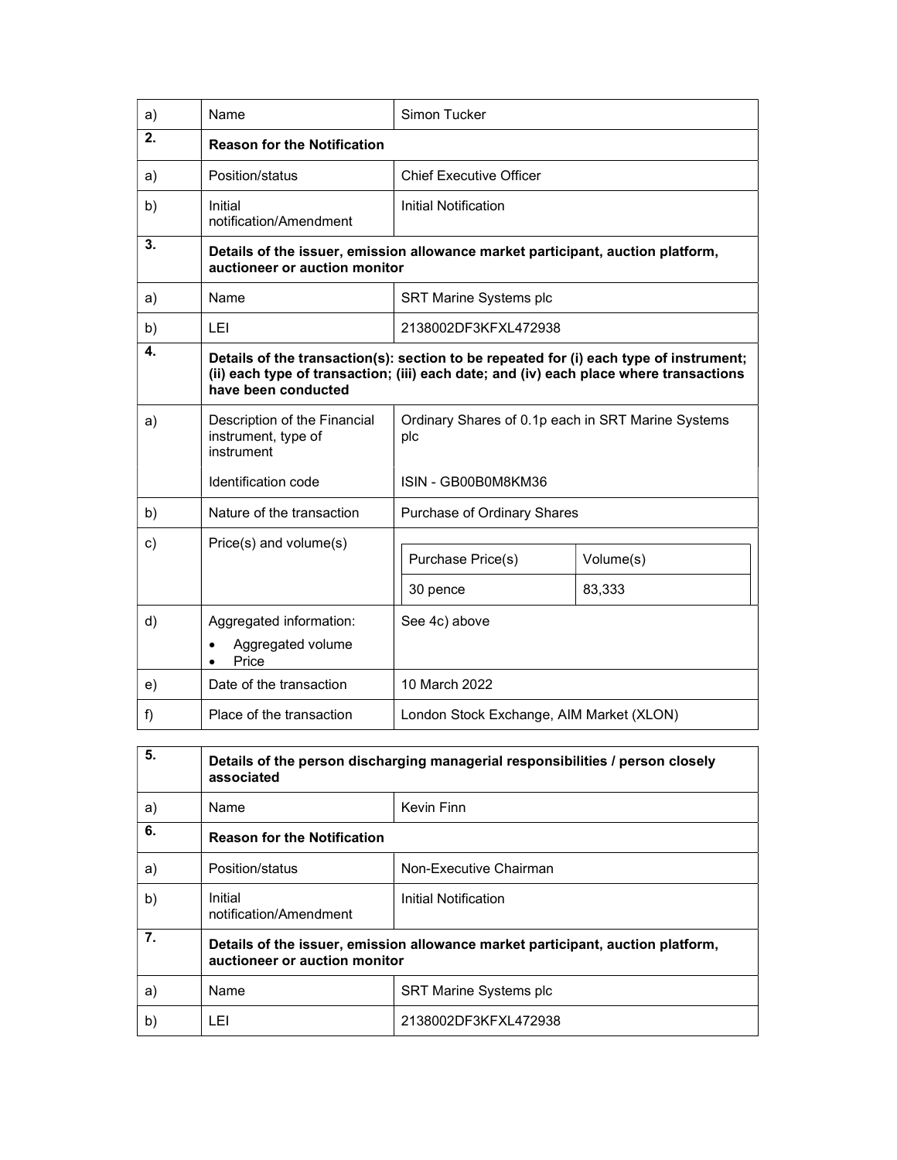| a) | Name                                                                                                                                                                                                    | Simon Tucker                                              |                     |  |  |
|----|---------------------------------------------------------------------------------------------------------------------------------------------------------------------------------------------------------|-----------------------------------------------------------|---------------------|--|--|
| 2. | <b>Reason for the Notification</b>                                                                                                                                                                      |                                                           |                     |  |  |
| a) | Position/status                                                                                                                                                                                         | <b>Chief Executive Officer</b>                            |                     |  |  |
| b) | Initial<br>notification/Amendment                                                                                                                                                                       | <b>Initial Notification</b>                               |                     |  |  |
| 3. | Details of the issuer, emission allowance market participant, auction platform,<br>auctioneer or auction monitor                                                                                        |                                                           |                     |  |  |
| a) | Name                                                                                                                                                                                                    | <b>SRT Marine Systems plc</b>                             |                     |  |  |
| b) | LEI                                                                                                                                                                                                     | 2138002DF3KFXL472938                                      |                     |  |  |
| 4. | Details of the transaction(s): section to be repeated for (i) each type of instrument;<br>(ii) each type of transaction; (iii) each date; and (iv) each place where transactions<br>have been conducted |                                                           |                     |  |  |
| a) | Description of the Financial<br>instrument, type of<br>instrument                                                                                                                                       | Ordinary Shares of 0.1p each in SRT Marine Systems<br>plc |                     |  |  |
|    | Identification code                                                                                                                                                                                     | ISIN - GB00B0M8KM36                                       |                     |  |  |
| b) | Nature of the transaction                                                                                                                                                                               | Purchase of Ordinary Shares                               |                     |  |  |
| c) | Price(s) and volume(s)                                                                                                                                                                                  | Purchase Price(s)<br>30 pence                             | Volume(s)<br>83,333 |  |  |
| d) | Aggregated information:<br>Aggregated volume<br>Price                                                                                                                                                   | See 4c) above                                             |                     |  |  |
| e) | Date of the transaction                                                                                                                                                                                 | 10 March 2022                                             |                     |  |  |
| f) | Place of the transaction                                                                                                                                                                                | London Stock Exchange, AIM Market (XLON)                  |                     |  |  |

| 5. | Details of the person discharging managerial responsibilities / person closely<br>associated                     |                               |  |
|----|------------------------------------------------------------------------------------------------------------------|-------------------------------|--|
| a) | Name                                                                                                             | Kevin Finn                    |  |
| 6. | <b>Reason for the Notification</b>                                                                               |                               |  |
| a) | Position/status                                                                                                  | Non-Executive Chairman        |  |
| b) | Initial<br>notification/Amendment                                                                                | Initial Notification          |  |
| 7. | Details of the issuer, emission allowance market participant, auction platform,<br>auctioneer or auction monitor |                               |  |
| a) | Name                                                                                                             | <b>SRT Marine Systems plc</b> |  |
| b) | LEI                                                                                                              | 2138002DF3KFXL472938          |  |